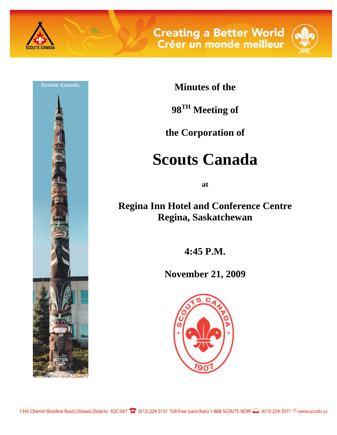

**Creating a Better World<br>Créer un monde meilleur** 





**Minutes of the** 

**98TH Meeting of** 

# **the Corporation of**

# **Scouts Canada**

**at** 

**Regina Inn Hotel and Conference Centre Regina, Saskatchewan** 

**4:45 P.M.** 

**November 21, 2009** 

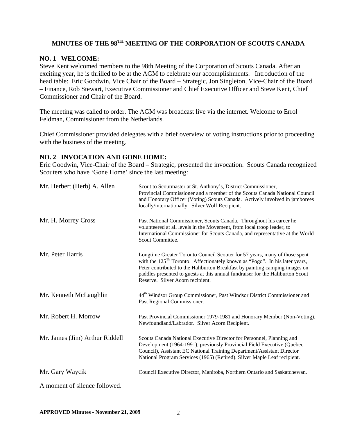# **MINUTES OF THE 98TH MEETING OF THE CORPORATION OF SCOUTS CANADA**

#### **NO. 1 WELCOME:**

Steve Kent welcomed members to the 98th Meeting of the Corporation of Scouts Canada. After an exciting year, he is thrilled to be at the AGM to celebrate our accomplishments. Introduction of the head table: Eric Goodwin, Vice Chair of the Board – Strategic, Jon Singleton, Vice-Chair of the Board – Finance, Rob Stewart, Executive Commissioner and Chief Executive Officer and Steve Kent, Chief Commissioner and Chair of the Board.

The meeting was called to order. The AGM was broadcast live via the internet. Welcome to Errol Feldman, Commissioner from the Netherlands.

Chief Commissioner provided delegates with a brief overview of voting instructions prior to proceeding with the business of the meeting.

#### **NO. 2 INVOCATION AND GONE HOME:**

Eric Goodwin, Vice-Chair of the Board – Strategic, presented the invocation. Scouts Canada recognized Scouters who have 'Gone Home' since the last meeting:

| Mr. Herbert (Herb) A. Allen    | Scout to Scoutmaster at St. Anthony's, District Commissioner,<br>Provincial Commissioner and a member of the Scouts Canada National Council<br>and Honorary Officer (Voting) Scouts Canada. Actively involved in jamborees<br>locally/internationally. Silver Wolf Recipient.                                                                                       |
|--------------------------------|---------------------------------------------------------------------------------------------------------------------------------------------------------------------------------------------------------------------------------------------------------------------------------------------------------------------------------------------------------------------|
| Mr. H. Morrey Cross            | Past National Commissioner, Scouts Canada. Throughout his career he<br>volunteered at all levels in the Movement, from local troop leader, to<br>International Commissioner for Scouts Canada, and representative at the World<br>Scout Committee.                                                                                                                  |
| Mr. Peter Harris               | Longtime Greater Toronto Council Scouter for 57 years, many of those spent<br>with the $125^{Th}$ Toronto. Affectionately known as "Pogo". In his later years,<br>Peter contributed to the Haliburton Breakfast by painting camping images on<br>paddles presented to guests at this annual fundraiser for the Haliburton Scout<br>Reserve. Silver Acorn recipient. |
| Mr. Kenneth McLaughlin         | 44 <sup>th</sup> Windsor Group Commissioner, Past Windsor District Commissioner and<br>Past Regional Commissioner.                                                                                                                                                                                                                                                  |
| Mr. Robert H. Morrow           | Past Provincial Commissioner 1979-1981 and Honorary Member (Non-Voting),<br>Newfoundland/Labrador. Silver Acorn Recipient.                                                                                                                                                                                                                                          |
| Mr. James (Jim) Arthur Riddell | Scouts Canada National Executive Director for Personnel, Planning and<br>Development (1964-1991), previously Provincial Field Executive (Quebec<br>Council), Assistant EC National Training Department/Assistant Director<br>National Program Services (1965) (Retired). Silver Maple Leaf recipient.                                                               |
| Mr. Gary Waycik                | Council Executive Director, Manitoba, Northern Ontario and Saskatchewan.                                                                                                                                                                                                                                                                                            |
| A moment of silence followed.  |                                                                                                                                                                                                                                                                                                                                                                     |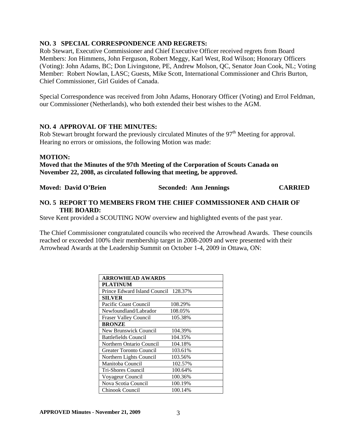#### **NO. 3 SPECIAL CORRESPONDENCE AND REGRETS:**

Rob Stewart, Executive Commissioner and Chief Executive Officer received regrets from Board Members: Jon Himmens, John Ferguson, Robert Meggy, Karl West, Rod Wilson; Honorary Officers (Voting): John Adams, BC; Don Livingstone, PE, Andrew Molson, QC, Senator Joan Cook, NL; Voting Member: Robert Nowlan, LASC; Guests, Mike Scott, International Commissioner and Chris Burton, Chief Commissioner, Girl Guides of Canada.

Special Correspondence was received from John Adams, Honorary Officer (Voting) and Errol Feldman, our Commissioner (Netherlands), who both extended their best wishes to the AGM.

#### **NO. 4 APPROVAL OF THE MINUTES:**

Rob Stewart brought forward the previously circulated Minutes of the 97<sup>th</sup> Meeting for approval. Hearing no errors or omissions, the following Motion was made:

#### **MOTION:**

**Moved that the Minutes of the 97th Meeting of the Corporation of Scouts Canada on November 22, 2008, as circulated following that meeting, be approved.** 

**Moved: David O'Brien Seconded: Ann Jennings CARRIED** 

#### **NO. 5 REPORT TO MEMBERS FROM THE CHIEF COMMISSIONER AND CHAIR OF THE BOARD:**

Steve Kent provided a SCOUTING NOW overview and highlighted events of the past year.

The Chief Commissioner congratulated councils who received the Arrowhead Awards. These councils reached or exceeded 100% their membership target in 2008-2009 and were presented with their Arrowhead Awards at the Leadership Summit on October 1-4, 2009 in Ottawa, ON:

| <b>ARROWHEAD AWARDS</b>              |         |
|--------------------------------------|---------|
| <b>PLATINUM</b>                      |         |
| Prince Edward Island Council 128.37% |         |
| <b>SILVER</b>                        |         |
| Pacific Coast Council                | 108.29% |
| Newfoundland/Labrador                | 108.05% |
| Fraser Valley Council                | 105.38% |
| <b>BRONZE</b>                        |         |
| New Brunswick Council                | 104.39% |
| Battlefields Council                 | 104.35% |
| Northern Ontario Council             | 104.18% |
| <b>Greater Toronto Council</b>       | 103.61% |
| Northern Lights Council              | 103.56% |
| Manitoba Council                     | 102.57% |
| Tri-Shores Council                   | 100.64% |
| Voyageur Council                     | 100.36% |
| Nova Scotia Council                  | 100.19% |
| Chinook Council                      | 100.14% |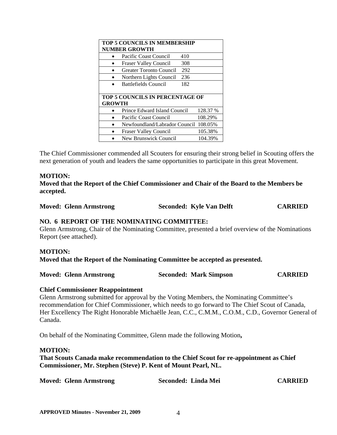| <b>TOP 5 COUNCILS IN MEMBERSHIP</b>    |                               |     |          |
|----------------------------------------|-------------------------------|-----|----------|
|                                        | <b>NUMBER GROWTH</b>          |     |          |
|                                        | Pacific Coast Council         | 410 |          |
|                                        | <b>Fraser Valley Council</b>  | 308 |          |
|                                        | Greater Toronto Council       | 292 |          |
|                                        | Northern Lights Council       | 236 |          |
|                                        | Battlefields Council          | 182 |          |
|                                        |                               |     |          |
| <b>TOP 5 COUNCILS IN PERCENTAGE OF</b> |                               |     |          |
| <b>GROWTH</b>                          |                               |     |          |
|                                        | Prince Edward Island Council  |     | 128.37 % |
|                                        | Pacific Coast Council         |     | 108.29%  |
|                                        | Newfoundland/Labrador Council |     | 108.05%  |
|                                        | Fraser Valley Council         |     | 105.38%  |
|                                        | New Brunswick Council         |     | 104.39%  |

The Chief Commissioner commended all Scouters for ensuring their strong belief in Scouting offers the next generation of youth and leaders the same opportunities to participate in this great Movement.

#### **MOTION:**

**Moved that the Report of the Chief Commissioner and Chair of the Board to the Members be accepted.** 

**Moved: Glenn Armstrong Seconded: Kyle Van Delft CARRIED** 

#### **NO. 6 REPORT OF THE NOMINATING COMMITTEE:**

Glenn Armstrong, Chair of the Nominating Committee, presented a brief overview of the Nominations Report (see attached).

# **MOTION: Moved that the Report of the Nominating Committee be accepted as presented.**

|  | <b>Moved: Glenn Armstrong</b> | <b>Seconded: Mark Simpson</b> | <b>CARRIED</b> |
|--|-------------------------------|-------------------------------|----------------|
|--|-------------------------------|-------------------------------|----------------|

#### **Chief Commissioner Reappointment**

Glenn Armstrong submitted for approval by the Voting Members, the Nominating Committee's recommendation for Chief Commissioner, which needs to go forward to The Chief Scout of Canada, Her Excellency The Right Honorable Michaëlle Jean, C.C., C.M.M., C.O.M., C.D., Governor General of Canada.

On behalf of the Nominating Committee, Glenn made the following Motion**,** 

#### **MOTION:**

**That Scouts Canada make recommendation to the Chief Scout for re-appointment as Chief Commissioner, Mr. Stephen (Steve) P. Kent of Mount Pearl, NL.** 

| <b>Moved: Glenn Armstrong</b> | Seconded: Linda Mei | <b>CARRIED</b> |
|-------------------------------|---------------------|----------------|
|-------------------------------|---------------------|----------------|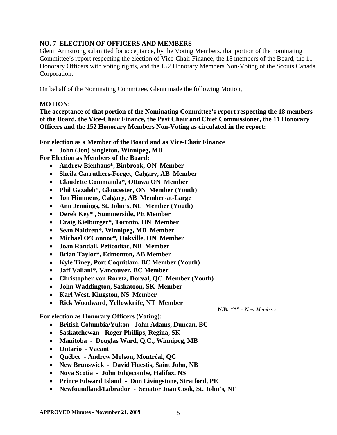## **NO. 7 ELECTION OF OFFICERS AND MEMBERS**

Glenn Armstrong submitted for acceptance, by the Voting Members, that portion of the nominating Committee's report respecting the election of Vice-Chair Finance, the 18 members of the Board, the 11 Honorary Officers with voting rights, and the 152 Honorary Members Non-Voting of the Scouts Canada Corporation.

On behalf of the Nominating Committee, Glenn made the following Motion,

#### **MOTION:**

**The acceptance of that portion of the Nominating Committee's report respecting the 18 members of the Board, the Vice-Chair Finance, the Past Chair and Chief Commissioner, the 11 Honorary Officers and the 152 Honorary Members Non-Voting as circulated in the report:** 

**For election as a Member of the Board and as Vice-Chair Finance** 

• **John (Jon) Singleton, Winnipeg, MB** 

**For Election as Members of the Board:** 

- **Andrew Bienhaus\*, Binbrook, ON Member**
- **Sheila Carruthers-Forget, Calgary, AB Member**
- **Claudette Commanda\*, Ottawa ON Member**
- **Phil Gazaleh\*, Gloucester, ON Member (Youth)**
- **Jon Himmens, Calgary, AB Member-at-Large**
- **Ann Jennings, St. John's, NL Member (Youth)**
- **Derek Key\* , Summerside, PE Member**
- **Craig Kielburger\*, Toronto, ON Member**
- **Sean Naldrett\*, Winnipeg, MB Member**
- **Michael O'Connor\*, Oakville, ON Member**
- **Joan Randall, Peticodiac, NB Member**
- **Brian Taylor\*, Edmonton, AB Member**
- **Kyle Tiney, Port Coquitlam, BC Member (Youth)**
- **Jaff Valiani\*, Vancouver, BC Member**
- **Christopher von Roretz, Dorval, QC Member (Youth)**
- **John Waddington, Saskatoon, SK Member**
- **Karl West, Kingston, NS Member**
- **Rick Woodward, Yellowknife, NT Member**

**For election as Honorary Officers (Voting):** 

- **British Columbia/Yukon John Adams, Duncan, BC**
- **Saskatchewan Roger Phillips, Regina, SK**
- **Manitoba Douglas Ward, Q.C., Winnipeg, MB**
- **Ontario Vacant**
- **Québec Andrew Molson, Montréal, QC**
- **New Brunswick David Huestis, Saint John, NB**
- **Nova Scotia John Edgecombe, Halifax, NS**
- **Prince Edward Island Don Livingstone, Stratford, PE**
- **Newfoundland/Labrador Senator Joan Cook, St. John's, NF**

**N.B. "\*" –** *New Members*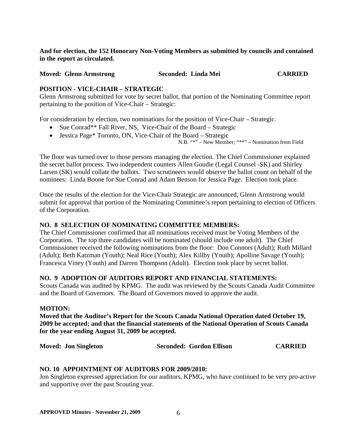# **And for election, the 152 Honorary Non-Voting Members as submitted by councils and contained in the report as circulated.**

#### **Moved: Glenn Armstrong Seconded: Linda Mei CARRIED**

# **POSITION - VICE-CHAIR – STRATEGIC**

Glenn Armstrong submitted for vote by secret ballot, that portion of the Nominating Committee report pertaining to the position of Vice-Chair – Strategic:

For consideration by election, two nominations for the position of Vice-Chair – Strategic.

- Sue Conrad<sup>\*\*</sup> Fall River, NS, Vice-Chair of the Board Strategic
- Jessica Page\* Toronto, ON, Vice-Chair of the Board Strategic

N.B. "\*" – New Member; "\*\*" – Nomination from Field

The floor was turned over to those persons managing the election. The Chief Commissioner explained the secret ballot process. Two independent counters Allen Goudie (Legal Counsel -SK) and Shirley Larsen (SK) would collate the ballots. Two scrutineers would observe the ballot count on behalf of the nominees: Linda Boone for Sue Conrad and Adam Benson for Jessica Page. Election took place.

Once the results of the election for the Vice-Chair Strategic are announced, Glenn Armstrong would submit for approval that portion of the Nominating Committee's report pertaining to election of Officers of the Corporation.

#### **NO. 8 SELECTION OF NOMINATING COMMITTEE MEMBERS:**

The Chief Commissioner confirmed that all nominations received must be Voting Members of the Corporation. The top three candidates will be nominated (should include one adult). The Chief Commissioner received the following nominations from the floor: Don Connors (Adult); Ruth Millard (Adult); Beth Katzman (Youth); Neal Rice (Youth); Alex Killby (Youth); Apolline Savage (Youth); Francesca Viney (Youth) and Darren Thompson (Adult). Election took place by secret ballot.

#### **NO. 9 ADOPTION OF AUDITORS REPORT AND FINANCIAL STATEMENTS:**

Scouts Canada was audited by KPMG. The audit was reviewed by the Scouts Canada Audit Committee and the Board of Governors. The Board of Governors moved to approve the audit.

#### **MOTION:**

**Moved that the Auditor's Report for the Scouts Canada National Operation dated October 19, 2009 be accepted; and that the financial statements of the National Operation of Scouts Canada for the year ending August 31, 2009 be accepted.** 

| <b>Moved: Jon Singleton</b> | <b>Seconded: Gordon Ellison</b> | <b>CARRIED</b> |
|-----------------------------|---------------------------------|----------------|
|-----------------------------|---------------------------------|----------------|

#### **NO. 10 APPOINTMENT OF AUDITORS FOR 2009/2010:**

Jon Singleton expressed appreciation for our auditors, KPMG, who have continued to be very pro-active and supportive over the past Scouting year.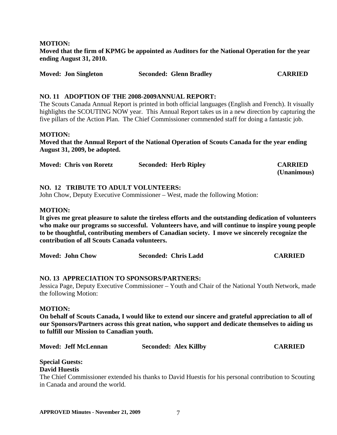**MOTION: Moved that the firm of KPMG be appointed as Auditors for the National Operation for the year ending August 31, 2010.** 

| <b>Moved: Jon Singleton</b> | <b>Seconded: Glenn Bradley</b> | <b>CARRIED</b> |  |
|-----------------------------|--------------------------------|----------------|--|
|                             |                                |                |  |

#### **NO. 11 ADOPTION OF THE 2008-2009ANNUAL REPORT:**

The Scouts Canada Annual Report is printed in both official languages (English and French). It visually highlights the SCOUTING NOW year. This Annual Report takes us in a new direction by capturing the five pillars of the Action Plan. The Chief Commissioner commended staff for doing a fantastic job.

#### **MOTION:**

**Moved that the Annual Report of the National Operation of Scouts Canada for the year ending August 31, 2009, be adopted.** 

| <b>Moved: Chris von Roretz</b> | <b>Seconded: Herb Ripley</b> | <b>CARRIED</b> |
|--------------------------------|------------------------------|----------------|
|                                |                              | (Unanimous)    |

#### **NO. 12 TRIBUTE TO ADULT VOLUNTEERS:**

John Chow, Deputy Executive Commissioner – West, made the following Motion:

#### **MOTION:**

**It gives me great pleasure to salute the tireless efforts and the outstanding dedication of volunteers who make our programs so successful. Volunteers have, and will continue to inspire young people to be thoughtful, contributing members of Canadian society. I move we sincerely recognize the contribution of all Scouts Canada volunteers.** 

| <b>Moved: John Chow</b> | <b>Seconded: Chris Ladd</b> | <b>CARRIED</b> |
|-------------------------|-----------------------------|----------------|
|                         |                             |                |

#### **NO. 13 APPRECIATION TO SPONSORS/PARTNERS:**

Jessica Page, Deputy Executive Commissioner – Youth and Chair of the National Youth Network, made the following Motion:

#### **MOTION:**

**On behalf of Scouts Canada, I would like to extend our sincere and grateful appreciation to all of our Sponsors/Partners across this great nation, who support and dedicate themselves to aiding us to fulfill our Mission to Canadian youth.** 

| <b>Moved: Jeff McLennan</b> | <b>Seconded: Alex Killby</b> | <b>CARRIED</b> |
|-----------------------------|------------------------------|----------------|
|-----------------------------|------------------------------|----------------|

#### **Special Guests: David Huestis**

The Chief Commissioner extended his thanks to David Huestis for his personal contribution to Scouting in Canada and around the world.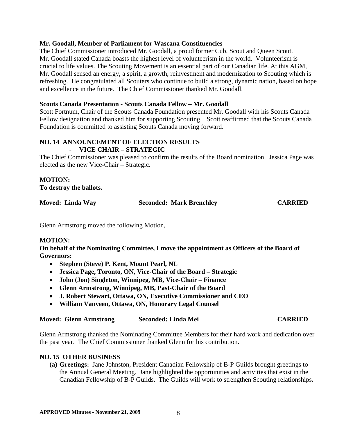#### **Mr. Goodall, Member of Parliament for Wascana Constituencies**

The Chief Commissioner introduced Mr. Goodall, a proud former Cub, Scout and Queen Scout. Mr. Goodall stated Canada boasts the highest level of volunteerism in the world. Volunteerism is crucial to life values. The Scouting Movement is an essential part of our Canadian life. At this AGM, Mr. Goodall sensed an energy, a spirit, a growth, reinvestment and modernization to Scouting which is refreshing. He congratulated all Scouters who continue to build a strong, dynamic nation, based on hope and excellence in the future. The Chief Commissioner thanked Mr. Goodall.

#### **Scouts Canada Presentation - Scouts Canada Fellow – Mr. Goodall**

Scott Fortnum, Chair of the Scouts Canada Foundation presented Mr. Goodall with his Scouts Canada Fellow designation and thanked him for supporting Scouting. Scott reaffirmed that the Scouts Canada Foundation is committed to assisting Scouts Canada moving forward.

# **NO. 14 ANNOUNCEMENT OF ELECTION RESULTS**

# - **VICE CHAIR – STRATEGIC**

The Chief Commissioner was pleased to confirm the results of the Board nomination. Jessica Page was elected as the new Vice-Chair – Strategic.

#### **MOTION:**

**To destroy the ballots.** 

| Moved: Linda Way | <b>Seconded: Mark Brenchley</b> | <b>CARRIED</b> |
|------------------|---------------------------------|----------------|
|                  |                                 |                |

Glenn Armstrong moved the following Motion,

#### **MOTION:**

**On behalf of the Nominating Committee, I move the appointment as Officers of the Board of Governors:** 

- **Stephen (Steve) P. Kent, Mount Pearl, NL**
- **Jessica Page, Toronto, ON, Vice-Chair of the Board Strategic**
- **John (Jon) Singleton, Winnipeg, MB, Vice-Chair Finance**
- **Glenn Armstrong, Winnipeg, MB, Past-Chair of the Board**
- **J. Robert Stewart, Ottawa, ON, Executive Commissioner and CEO**
- **William Vanveen, Ottawa, ON, Honorary Legal Counsel**

# **Moved: Glenn Armstrong Seconded: Linda Mei CARRIED**

Glenn Armstrong thanked the Nominating Committee Members for their hard work and dedication over the past year. The Chief Commissioner thanked Glenn for his contribution.

#### **NO. 15 OTHER BUSINESS**

**(a) Greetings:** Jane Johnston, President Canadian Fellowship of B-P Guilds brought greetings to the Annual General Meeting. Jane highlighted the opportunities and activities that exist in the Canadian Fellowship of B-P Guilds. The Guilds will work to strengthen Scouting relationships**.**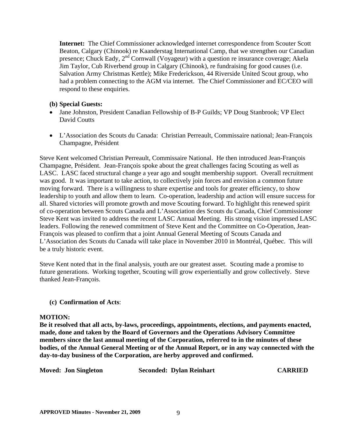**Internet:** The Chief Commissioner acknowledged internet correspondence from Scouter Scott Beaton, Calgary (Chinook) re Kaanderstag International Camp, that we strengthen our Canadian presence; Chuck Eady, 2<sup>nd</sup> Cornwall (Voyageur) with a question re insurance coverage; Akela Jim Taylor, Cub Riverbend group in Calgary (Chinook), re fundraising for good causes (i.e. Salvation Army Christmas Kettle); Mike Frederickson, 44 Riverside United Scout group, who had a problem connecting to the AGM via internet. The Chief Commissioner and EC/CEO will respond to these enquiries.

#### **(b) Special Guests:**

- Jane Johnston, President Canadian Fellowship of B-P Guilds; VP Doug Stanbrook; VP Elect David Coutts
- L'Association des Scouts du Canada: Christian Perreault, Commissaire national; Jean-François Champagne, Président

Steve Kent welcomed Christian Perreault, Commissaire National. He then introduced Jean-François Champagne, Président. Jean-François spoke about the great challenges facing Scouting as well as LASC. LASC faced structural change a year ago and sought membership support. Overall recruitment was good. It was important to take action, to collectively join forces and envision a common future moving forward. There is a willingness to share expertise and tools for greater efficiency, to show leadership to youth and allow them to learn. Co-operation, leadership and action will ensure success for all. Shared victories will promote growth and move Scouting forward. To highlight this renewed spirit of co-operation between Scouts Canada and L'Association des Scouts du Canada, Chief Commissioner Steve Kent was invited to address the recent LASC Annual Meeting. His strong vision impressed LASC leaders. Following the renewed commitment of Steve Kent and the Committee on Co-Operation, Jean-François was pleased to confirm that a joint Annual General Meeting of Scouts Canada and L'Association des Scouts du Canada will take place in November 2010 in Montréal, Québec. This will be a truly historic event.

Steve Kent noted that in the final analysis, youth are our greatest asset. Scouting made a promise to future generations. Working together, Scouting will grow experientially and grow collectively. Steve thanked Jean-François.

#### **(c) Confirmation of Acts**:

#### **MOTION:**

**Be it resolved that all acts, by-laws, proceedings, appointments, elections, and payments enacted, made, done and taken by the Board of Governors and the Operations Advisory Committee members since the last annual meeting of the Corporation, referred to in the minutes of these bodies, of the Annual General Meeting or of the Annual Report, or in any way connected with the day-to-day business of the Corporation, are herby approved and confirmed.** 

| <b>Moved: Jon Singleton</b> | <b>Seconded: Dylan Reinhart</b> | <b>CARRIED</b> |
|-----------------------------|---------------------------------|----------------|
|                             |                                 |                |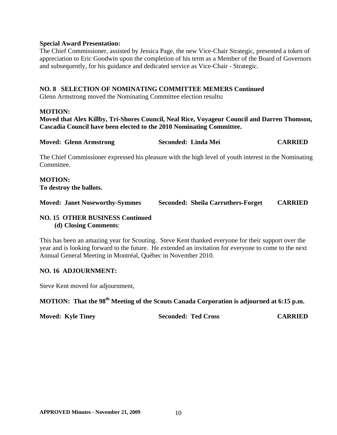#### **Special Award Presentation:**

The Chief Commissioner, assisted by Jessica Page, the new Vice-Chair Strategic, presented a token of appreciation to Eric Goodwin upon the completion of his term as a Member of the Board of Governors and subsequently, for his guidance and dedicated service as Vice-Chair - Strategic.

#### **NO. 8 SELECTION OF NOMINATING COMMITTEE MEMERS Continued**

Glenn Armstrong moved the Nominating Committee election results**:** 

#### **MOTION:**

**Moved that Alex Killby, Tri-Shores Council, Neal Rice, Voyageur Council and Darren Thomson, Cascadia Council have been elected to the 2010 Nominating Committee.** 

| <b>Moved: Glenn Armstrong</b> | Seconded: Linda Mei | <b>CARRIED</b> |
|-------------------------------|---------------------|----------------|
|-------------------------------|---------------------|----------------|

The Chief Commissioner expressed his pleasure with the high level of youth interest in the Nominating Committee.

#### **MOTION: To destroy the ballots.**

**Moved: Janet Noseworthy-Symmes Seconded: Sheila Carruthers-Forget CARRIED** 

#### **NO. 15 OTHER BUSINESS Continued (d) Closing Comments**:

This has been an amazing year for Scouting. Steve Kent thanked everyone for their support over the year and is looking forward to the future. He extended an invitation for everyone to come to the next Annual General Meeting in Montréal, Québec in November 2010.

#### **NO. 16 ADJOURNMENT:**

Steve Kent moved for adjournment,

# **MOTION: That the 98th Meeting of the Scouts Canada Corporation is adjourned at 6:15 p.m.**

**Moved: Kyle Tiney Seconded: Ted Cross CARRIED**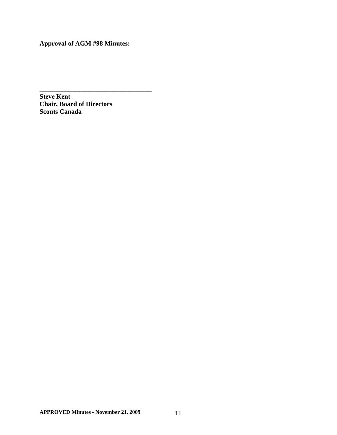**Approval of AGM #98 Minutes:** 

**\_\_\_\_\_\_\_\_\_\_\_\_\_\_\_\_\_\_\_\_\_\_\_\_\_\_\_\_\_\_\_\_\_\_** 

 **Steve Kent Chair, Board of Directors Scouts Canada**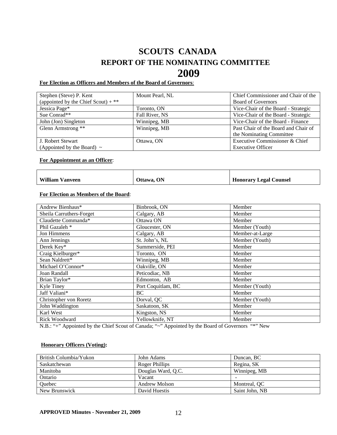# **SCOUTS CANADA REPORT OF THE NOMINATING COMMITTEE 2009**

# **For Election as Officers and Members of the Board of Governors**:

| Stephen (Steve) P. Kent               | Mount Pearl, NL | Chief Commissioner and Chair of the  |
|---------------------------------------|-----------------|--------------------------------------|
| (appointed by the Chief Scout) + $**$ |                 | <b>Board of Governors</b>            |
| Jessica Page*                         | Toronto, ON     | Vice-Chair of the Board - Strategic  |
| Sue Conrad**                          | Fall River, NS  | Vice-Chair of the Board - Strategic  |
| John (Jon) Singleton                  | Winnipeg, MB    | Vice-Chair of the Board - Finance    |
| Glenn Armstrong **                    | Winnipeg, MB    | Past Chair of the Board and Chair of |
|                                       |                 | the Nominating Committee             |
| J. Robert Stewart                     | Ottawa, ON      | Executive Commissioner & Chief       |
| (Appointed by the Board) $\sim$       |                 | <b>Executive Officer</b>             |

#### **For Appointment as an Officer**:

| William Vanveen | Ottawa, ON | <b>Honorary Legal Counsel</b> |
|-----------------|------------|-------------------------------|
|                 |            |                               |

#### **For Election as Members of the Board**:

| Andrew Bienhaus*         | Binbrook, ON       | Member          |
|--------------------------|--------------------|-----------------|
| Sheila Carruthers-Forget | Calgary, AB        | Member          |
| Claudette Commanda*      | Ottawa ON          | Member          |
| Phil Gazaleh *           | Gloucester, ON     | Member (Youth)  |
| Jon Himmens              | Calgary, AB        | Member-at-Large |
| Ann Jennings             | St. John's, NL     | Member (Youth)  |
| Derek Key*               | Summerside, PEI    | Member          |
| Craig Kielburger*        | Toronto, ON        | Member          |
| Sean Naldrett*           | Winnipeg, MB       | Member          |
| Michael O'Connor*        | Oakville, ON       | Member          |
| Joan Randall             | Peticodiac, NB     | Member          |
| Brian Taylor*            | Edmonton, AB       | Member          |
| Kyle Tiney               | Port Coquitlam, BC | Member (Youth)  |
| Jaff Valiani*            | BC                 | Member          |
| Christopher von Roretz   | Dorval, QC         | Member (Youth)  |
| John Waddington          | Saskatoon, SK      | Member          |
| Karl West                | Kingston, NS       | Member          |
| <b>Rick Woodward</b>     | Yellowknife, NT    | Member          |

N.B.: "+" Appointed by the Chief Scout of Canada; "~" Appointed by the Board of Governors "\*" New

#### **Honorary Officers (Voting):**

| British Columbia/Yukon | John Adams           | Duncan, BC     |
|------------------------|----------------------|----------------|
| Saskatchewan           | Roger Phillips       | Regina, SK     |
| Manitoba               | Douglas Ward, Q.C.   | Winnipeg, MB   |
| Ontario                | Vacant               |                |
| <b>Ouebec</b>          | <b>Andrew Molson</b> | Montreal, QC   |
| New Brunswick          | David Huestis        | Saint John, NB |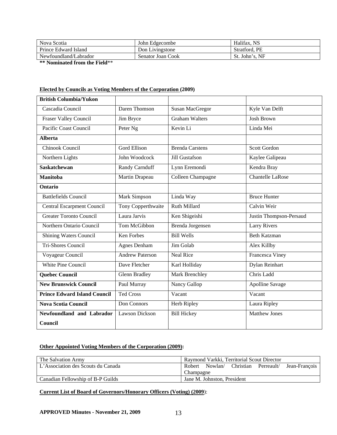| Nova Scotia           | John Edgecombe    | Halifax, NS    |
|-----------------------|-------------------|----------------|
| Prince Edward Island  | Don Livingstone   | Stratford, PE  |
| Newfoundland/Labrador | Senator Joan Cook | St. John's, NF |

**\*\* Nominated from the Field**\*\*

#### **Elected by Councils as Voting Members of the Corporation (2009)**

| <b>British Columbia/Yukon</b>       |                        |                        |                         |
|-------------------------------------|------------------------|------------------------|-------------------------|
| Cascadia Council                    | Daren Thomson          | <b>Susan MacGregor</b> | Kyle Van Delft          |
| Fraser Valley Council               | Jim Bryce              | <b>Graham Walters</b>  | <b>Josh Brown</b>       |
| Pacific Coast Council               | Peter Ng               | Kevin Li               | Linda Mei               |
| <b>Alberta</b>                      |                        |                        |                         |
| Chinook Council                     | <b>Gord Ellison</b>    | <b>Brenda Carstens</b> | <b>Scott Gordon</b>     |
| Northern Lights                     | John Woodcock          | Jill Gustafson         | Kaylee Galipeau         |
| <b>Saskatchewan</b>                 | Randy Carnduff         | Lynn Eremondi          | Kendra Bray             |
| <b>Manitoba</b>                     | Martin Drapeau         | Colleen Champagne      | <b>Chantelle LaRose</b> |
| <b>Ontario</b>                      |                        |                        |                         |
| <b>Battlefields Council</b>         | Mark Simpson           | Linda Way              | <b>Bruce Hunter</b>     |
| <b>Central Escarpment Council</b>   | Tony Copperthwaite     | <b>Ruth Millard</b>    | Calvin Weir             |
| <b>Greater Toronto Council</b>      | Laura Jarvis           | Ken Shigeishi          | Justin Thompson-Persaud |
| Northern Ontario Council            | Tom McGibbon           | Brenda Jorgensen       | <b>Larry Rivers</b>     |
| <b>Shining Waters Council</b>       | Ken Forbes             | <b>Bill Wells</b>      | <b>Beth Katzman</b>     |
| <b>Tri-Shores Council</b>           | Agnes Denham           | Jim Golab              | <b>Alex Killby</b>      |
| Voyageur Council                    | <b>Andrew Paterson</b> | <b>Neal Rice</b>       | Francesca Viney         |
| <b>White Pine Council</b>           | Dave Fletcher          | Karl Holliday          | Dylan Reinhart          |
| <b>Quebec Council</b>               | Glenn Bradley          | <b>Mark Brenchley</b>  | Chris Ladd              |
| <b>New Brunswick Council</b>        | Paul Murray            | Nancy Gallop           | <b>Apolline Savage</b>  |
| <b>Prince Edward Island Council</b> | <b>Ted Cross</b>       | Vacant                 | Vacant                  |
| <b>Nova Scotia Council</b>          | Don Connors            | <b>Herb Ripley</b>     | Laura Ripley            |
| Newfoundland and Labrador           | <b>Lawson Dickson</b>  | <b>Bill Hickey</b>     | <b>Matthew Jones</b>    |
| Council                             |                        |                        |                         |

#### **Other Appointed Voting Members of the Corporation (2009):**

| The Salvation Army                 | Raymond Varkki, Territorial Scout Director                    |  |  |
|------------------------------------|---------------------------------------------------------------|--|--|
| L'Association des Scouts du Canada | Christian<br>Nowlan/<br>Perreault/<br>Jean-François<br>Robert |  |  |
|                                    | Champagne                                                     |  |  |
| Canadian Fellowship of B-P Guilds  | Jane M. Johnston, President                                   |  |  |

#### **Current List of Board of Governors/Honorary Officers (Voting) (2009**):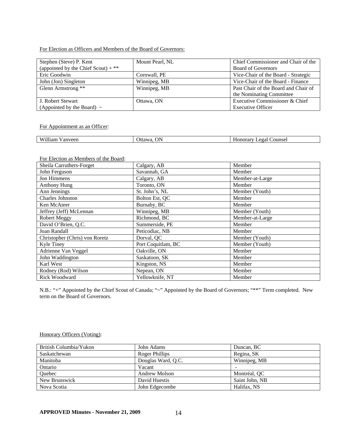#### For Election as Officers and Members of the Board of Governors:

| Stephen (Steve) P. Kent               | Mount Pearl, NL | Chief Commissioner and Chair of the  |
|---------------------------------------|-----------------|--------------------------------------|
| (appointed by the Chief Scout) + $**$ |                 | <b>Board of Governors</b>            |
| Eric Goodwin                          | Cornwall, PE    | Vice-Chair of the Board - Strategic  |
| John (Jon) Singleton                  | Winnipeg, MB    | Vice-Chair of the Board - Finance    |
| Glenn Armstrong **                    | Winnipeg, MB    | Past Chair of the Board and Chair of |
|                                       |                 | the Nominating Committee             |
| J. Robert Stewart                     | Ottawa, ON      | Executive Commissioner & Chief       |
| (Appointed by the Board) $\sim$       |                 | <b>Executive Officer</b>             |

For Appointment as an Officer:

|  | - -<br>$W^{\cdots}$<br>эN<br>)tt<br>H1an<br>ıveen<br><br>ан | $ -$<br>`ounsel<br>---------<br>aro |
|--|-------------------------------------------------------------|-------------------------------------|
|--|-------------------------------------------------------------|-------------------------------------|

For Election as Members of the Board:

| Sheila Carruthers-Forget       | Calgary, AB        | Member          |
|--------------------------------|--------------------|-----------------|
| John Ferguson                  | Savannah, GA       | Member          |
| Jon Himmens                    | Calgary, AB        | Member-at-Large |
| <b>Anthony Hung</b>            | Toronto, ON        | Member          |
| Ann Jennings                   | St. John's, NL     | Member (Youth)  |
| Charles Johnston               | Bolton Est, QC     | Member          |
| Ken McAteer                    | Burnaby, BC        | Member          |
| Jeffrey (Jeff) McLennan        | Winnipeg, MB       | Member (Youth)  |
| Robert Meggy                   | Richmond, BC       | Member-at-Large |
| David O'Brien, Q.C.            | Summerside, PE     | Member          |
| Joan Randall                   | Peticodiac, NB     | Member          |
| Christopher (Chris) von Roretz | Dorval, QC         | Member (Youth)  |
| Kyle Tiney                     | Port Coquitlam, BC | Member (Youth)  |
| Adrienne Van Veggel            | Oakville, ON       | Member          |
| John Waddington                | Saskatoon, SK      | Member          |
| Karl West                      | Kingston, NS       | Member          |
| Rodney (Rod) Wilson            | Nepean, ON         | Member          |
| Rick Woodward                  | Yellowknife, NT    | Member          |

N.B.: "+" Appointed by the Chief Scout of Canada; "~" Appointed by the Board of Governors; "\*\*" Term completed. New term on the Board of Governors.

#### Honorary Officers (Voting):

| British Columbia/Yukon | John Adams           | Duncan, BC     |
|------------------------|----------------------|----------------|
| Saskatchewan           | Roger Phillips       | Regina, SK     |
| Manitoba               | Douglas Ward, Q.C.   | Winnipeg, MB   |
| Ontario                | Vacant               |                |
| Quebec                 | <b>Andrew Molson</b> | Montréal, OC   |
| New Brunswick          | David Huestis        | Saint John, NB |
| Nova Scotia            | John Edgecombe       | Halifax, NS    |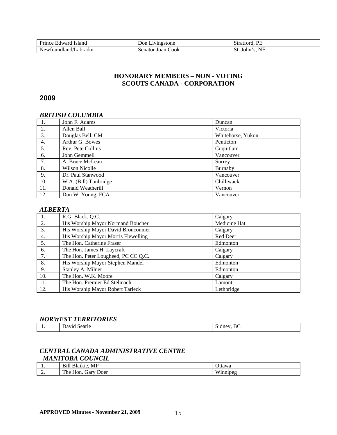| Prince<br><b>Island</b><br>- Edward | Don Livingstone         | PE<br>Stratford.             |
|-------------------------------------|-------------------------|------------------------------|
| Newfoundland/Labrador               | Cook<br>Senator<br>Joan | St.<br>. TT<br>s. NF<br>John |

#### **HONORARY MEMBERS – NON - VOTING SCOUTS CANADA - CORPORATION**

# **2009**

#### *BRITISH COLUMBIA*

| $\mathbf{1}$ . | John F. Adams         | Duncan            |
|----------------|-----------------------|-------------------|
| 2.             | Allen Ball            | Victoria          |
| 3.             | Douglas Bell, CM      | Whitehorse, Yukon |
| 4.             | Arthur G. Bowes       | Penticton         |
| 5.             | Rev. Pete Collins     | Coquitlam         |
| 6.             | John Gemmell          | Vancouver         |
| 7.             | A. Bruce McLean       | Surrey            |
| 8.             | Wilson Nicolle        | Burnaby           |
| 9.             | Dr. Paul Stanwood     | Vancouver         |
| 10.            | W.A. (Bill) Tunbridge | Chilliwack        |
| 11.            | Donald Weatherill     | Vernon            |
| 12.            | Don W. Young, FCA     | Vancouver         |

#### *ALBERTA*

| 1.  | R.G. Black, Q.C.                    | Calgary      |
|-----|-------------------------------------|--------------|
| 2.  | His Worship Mayor Normand Boucher   | Medicine Hat |
| 3.  | His Worship Mayor David Bronconnier | Calgary      |
| 4.  | His Worship Mayor Morris Flewelling | Red Deer     |
| 5.  | The Hon. Catherine Fraser           | Edmonton     |
| 6.  | The Hon. James H. Laycraft          | Calgary      |
| 7.  | The Hon. Peter Lougheed, PC CC Q.C. | Calgary      |
| 8.  | His Worship Mayor Stephen Mandel    | Edmonton     |
| 9.  | Stanley A. Milner                   | Edmonton     |
| 10. | The Hon. W.K. Moore                 | Calgary      |
| 11. | The Hon. Premier Ed Stelmach        | Lamont       |
| 12. | His Worship Mayor Robert Tarleck    | Lethbridge   |

#### *NORWEST TERRITORIES*

# *CENTRAL CANADA ADMINISTRATIVE CENTRE MANITOBA COUNCIL*

| . .      | $\sim$<br>$\mathbf{r}$<br>$\mathbf{r}$<br><b>CONTRACTOR</b><br>МF<br>Blaikie<br>DШ | Jttawa .                               |
|----------|------------------------------------------------------------------------------------|----------------------------------------|
| <u>.</u> | --<br>The<br>Doer<br>Jarv<br>Hon.                                                  | <b>TTT</b><br>$\mathbf{M}$<br>ınnıne.o |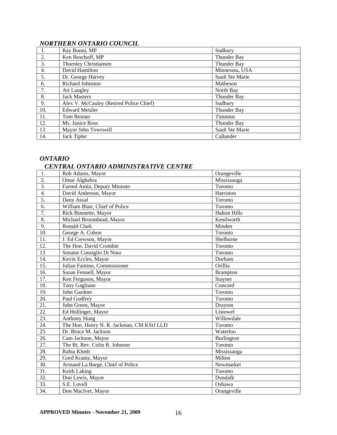# *NORTHERN ONTARIO COUNCIL*

|     | Ray Bonni, MP                           | Sudbury         |
|-----|-----------------------------------------|-----------------|
| 2.  | Ken Boschoff, MP                        | Thunder Bay     |
| 3.  | <b>Thornley Christiansen</b>            | Thunder Bay     |
| 4.  | David Hamilton                          | Minnesota, USA  |
| 5.  | Dr. George Harvey                       | Sault Ste Marie |
| 6.  | Richard Johnston                        | Matheson        |
| 7.  | <b>Art Langley</b>                      | North Bay       |
| 8.  | <b>Jack Masters</b>                     | Thunder Bay     |
| 9.  | Alex V. McCauley (Retired Police Chief) | Sudbury         |
| 10. | <b>Edward Metzler</b>                   | Thunder Bay     |
| 11. | <b>Tom Reimer</b>                       | <b>Timmins</b>  |
| 12. | Ms. Janice Ross                         | Thunder Bay     |
| 13  | Mayor John Towswell                     | Sault Ste Marie |
| 14. | Jack Tipler                             | Callander       |

#### *ONTARIO*

# *CENTRAL ONTARIO ADMINISTRATIVE CENTRE*

| 1.                | Rob Adams, Mayor                          | Orangeville         |
|-------------------|-------------------------------------------|---------------------|
| $\overline{2}$ .  | Omar Alghabra                             | Mississauga         |
| $\overline{3}$ .  | Fareed Amin, Deputy Minister              | Toronto             |
| $\overline{4}$ .  | David Anderson, Mayor                     | Harriston           |
| $\overline{5}$ .  | Dany Assaf                                | Toronto             |
| 6.                | William Blair, Chief of Police            | Toronto             |
| $\overline{7}$ .  | Rick Bonnette, Mayor                      | <b>Halton Hills</b> |
| $\overline{8}$ .  | Michael Broomhead, Mayor                  | Kenilworth          |
| 9.                | <b>Ronald Clark</b>                       | Minden              |
| 10.               | George A. Cohon                           | Toronto             |
| 11.               | J. Ed Crewson, Mayor                      | Shelburne           |
| 12.               | The Hon. David Crombie                    | Toronto             |
| $\overline{13}$   | Senator Consiglio Di Nino                 | Toronto             |
| 14.               | Kevin Eccles, Mayor                       | Durham              |
| 15.               | Julian Fantino, Commissioner              | Orillia             |
| 16.               | Susan Fennell, Mayor                      | <b>Brampton</b>     |
| 17.               | Ken Ferguson, Mayor                       | Stayner             |
| $\overline{18}$ . | <b>Tony Gagliano</b>                      | Concord             |
| 19.               | John Gardner                              | Toronto             |
| $\overline{20}$ . | Paul Godfrey                              | Toronto             |
| 21.               | John Green, Mayor                         | Drayton             |
| $\overline{22}$ . | Ed Hollinger, Mayor                       | Listowel            |
| 23.               | <b>Anthony Hung</b>                       | Willowdale          |
| 24.               | The Hon. Henry N. R. Jackman, CM KStJ LLD | Toronto             |
| $\overline{25}$ . | Dr. Bruce M. Jackson                      | Waterloo            |
| 26.               | Cam Jackson, Mayor                        | Burlington          |
| $\overline{27}$ . | The Rt. Rev. Colin R. Johnson             | Toronto             |
| $\overline{28}$ . | Rabia Khedr                               | Mississauga         |
| $\overline{29}$ . | Gord Krantz, Mayor                        | Milton              |
| $\overline{30}$ . | Armand La Barge, Chief of Police          | Newmarket           |
| 31.               | Keith Laking                              | Toronto             |
| $\overline{32}$ . | Don Lewis, Mayor                          | Dundalk             |
| $\overline{33}$ . | S.E. Lovell                               | Oshawa              |
| 34.               | Don MacIver, Mayor                        | Orangeville         |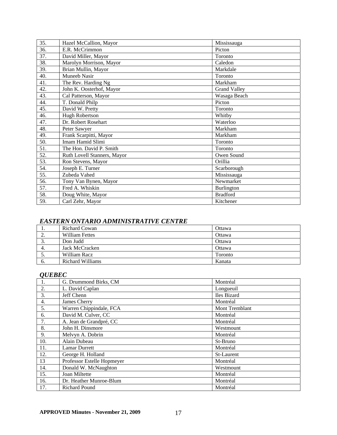| 35. | Hazel McCallion, Mayor      | Mississauga         |
|-----|-----------------------------|---------------------|
| 36. | E.R. McCrimmon              | Picton              |
| 37. | David Miller, Mayor         | Toronto             |
| 38. | Marolyn Morrison, Mayor     | Caledon             |
| 39. | Brian Mullin, Mayor         | Markdale            |
| 40. | Muneeb Nasir                | Toronto             |
| 41. | The Rev. Harding Ng         | Markham             |
| 42. | John K. Oosterhof, Mayor    | <b>Grand Valley</b> |
| 43. | Cal Patterson, Mayor        | Wasaga Beach        |
| 44. | T. Donald Philp             | Picton              |
| 45. | David W. Pretty             | Toronto             |
| 46. | <b>Hugh Robertson</b>       | Whitby              |
| 47. | Dr. Robert Rosehart         | Waterloo            |
| 48. | Peter Sawyer                | Markham             |
| 49. | Frank Scarpitti, Mayor      | Markham             |
| 50. | Imam Hamid Slimi            | Toronto             |
| 51. | The Hon. David P. Smith     | Toronto             |
| 52. | Ruth Lovell Stanners, Mayor | Owen Sound          |
| 53. | Ron Stevens, Mayor          | Orillia             |
| 54. | Joseph E. Turner            | Scarborough         |
| 55. | Zubeda Vahed                | Mississauga         |
| 56. | Tony Van Bynen, Mayor       | Newmarket           |
| 57. | Fred A. Whiskin             | Burlington          |
| 58. | Doug White, Mayor           | <b>Bradford</b>     |
| 59. | Carl Zehr, Mayor            | Kitchener           |

# *EASTERN ONTARIO ADMINISTRATIVE CENTRE*

| . .      | Richard Cowan           | Ottawa         |
|----------|-------------------------|----------------|
| <u>.</u> | <b>William Fettes</b>   | Ottawa         |
| . ب      | Don Judd                | Ottawa         |
| 4.       | Jack McCracken          | Ottawa         |
| J.       | William Racz            | <b>Toronto</b> |
| O.       | <b>Richard Williams</b> | Kanata         |

#### *QUEBEC*

| 1.               | G. Drummond Birks, CM      | Montréal       |
|------------------|----------------------------|----------------|
| $\overline{2}$ . | L. David Caplan            | Longueuil      |
| 3.               | Jeff Chenn                 | Iles Bizard    |
| 4.               | James Cherry               | Montréal       |
| 5.               | Warren Chippindale, FCA    | Mont Tremblant |
| 6.               | David M. Culver, CC        | Montréal       |
| 7.               | A. Jean de Grandpré, CC    | Montréal       |
| 8.               | John H. Dinsmore           | Westmount      |
| 9.               | Melvyn A. Dobrin           | Montréal       |
| 10.              | Alain Dubeau               | St-Bruno       |
| 11.              | <b>Lamar Durrett</b>       | Montréal       |
| 12.              | George H. Holland          | St-Laurent     |
| 13               | Professor Estelle Hopmeyer | Montréal       |
| 14.              | Donald W. McNaughton       | Westmount      |
| 15.              | Joan Miltette              | Montréal       |
| 16.              | Dr. Heather Munroe-Blum    | Montréal       |
| 17.              | <b>Richard Pound</b>       | Montréal       |